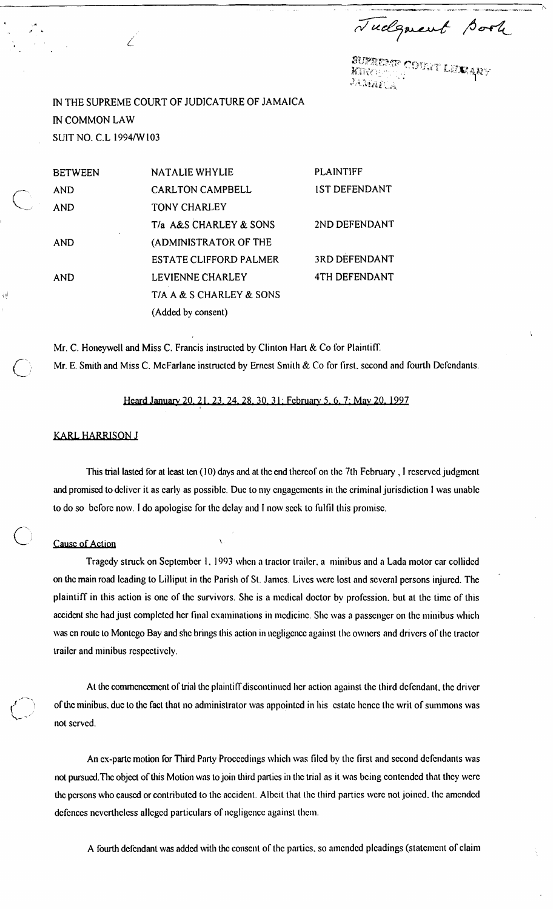Tudgment Book

.<br>Burrebyp Coult Lexaby

IN THE SUPREME COURT OF JUDICATURE OF JAMAICA IN COMMON LAW SUIT NO. C.L 1994/W103

|                | <b>BETWEEN</b> | <b>NATALIE WHYLIE</b>         | <b>PLAINTIFF</b>     |
|----------------|----------------|-------------------------------|----------------------|
|                | <b>AND</b>     | <b>CARLTON CAMPBELL</b>       | <b>IST DEFENDANT</b> |
|                | <b>AND</b>     | <b>TONY CHARLEY</b>           |                      |
|                |                | T/a A&S CHARLEY & SONS        | 2ND DEFENDANT        |
|                | <b>AND</b>     | (ADMINISTRATOR OF THE         |                      |
|                |                | <b>ESTATE CLIFFORD PALMER</b> | 3RD DEFENDANT        |
|                | AND            | LEVIENNE CHARLEY              | <b>4TH DEFENDANT</b> |
| 河              |                | T/A A & S CHARLEY & SONS      |                      |
| $\mathbb{R}^n$ |                | (Added by consent)            |                      |

Mr. C. Honeywell and Miss C. Francis instructed by Clinton Hart & Co for Plaintiff. Mr. E. Smith and Miss C. McFarlane instructed by Ernest Smith & Co for first, second and fourth Defendants.

*Heard January 20.21.23.24.28.30.31: February 5.6.7: May 20.1997* 

## **KARL HARRISON J**

This trial lasted for at least ten (10) days and at the end thereof on the 7th February, I reserved judgment and promised to deliver it as early as possible. Due to my engagements in the criminal jurisdiction I was unable to do so before now. I do apologise for the delay and I now seek to fulfil this promise.

## **Cause of Action**

Tragedy struck on September 1, 1993 when a tractor trailer, a minibus and a Lada motor car collided on the main road leading to Lilliput in the Parish of St. James. Lives were lost and several persons injured. The plaintiff in this action is one of the survivors. She is a medical doctor by profession, but at the time of this accident she had just completed her final examinations in medicine. She was a passenger on the minibus which was en route to Montego Bay and she brings this action in negligence against the owners and drivers of the tractor trailer and minibus respectively.

At the commencement of trial the plaintiff discontinued her action against the third defendant, the driver of the minibus, due to the fact that no administrator was appointed in his estate hence the writ of summons was not scrvcd.

An ex-parte motion for Third Party Proceedings which was filed by the first and second defendants was not pursued. The object of this Motion was to join third parties in the trial as it was being contended that they were the persons who caused or contributed to the accident. Albeit that the third parties were not joined, the amended defences nevertheless alleged particulars of negligence against them.

A fourth defendant was added with the consent of the parties, so amended pleadings (statement of claim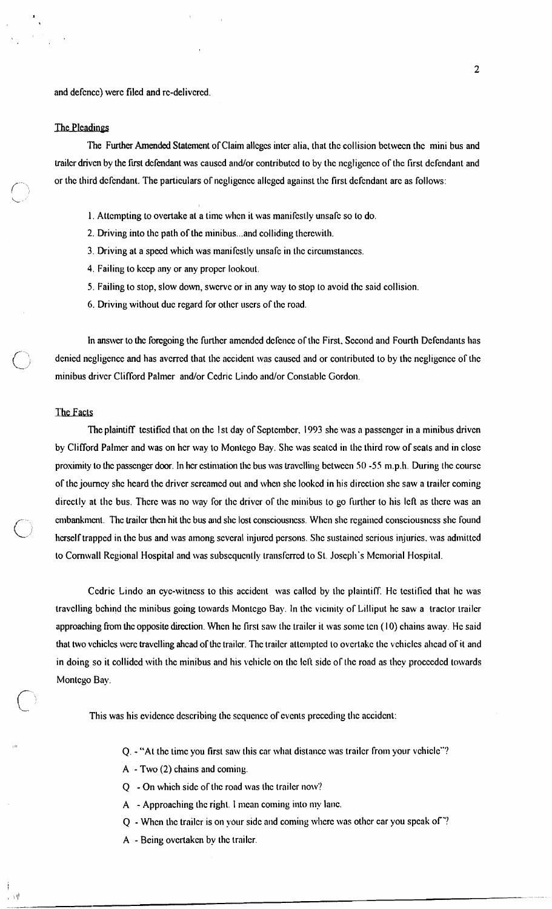and defence) were filed and re-delivered.

### The Pleadings

**i** 

The Further Amended Statement of Claim alleges inter alia, that the collision between the mini bus and trailer driven by the first defendant was caused and/or contributed to by the negligence of the first defendant and or the third defendant. The particulars of negligence alleged against the first defendant are as follows:

- 1. Attempting to overtake at a time when it was manifestly unsafe so to do.
- 2. Driving into the path of the minibus ... and colliding therewith.
- 3. Driving at a speed which was manifestly unsafe in the circumstances.
- 4. Failing to keep any or any proper lookout.
- 5. Failing to stop, slow down, swcrvc or in any way to stop to avoid the said collision.
- 6. Driving without due regard for other users of the road.

In answer to the foregoing the further amended defence of the First. Second and Fourth Defendants has denied negligence and has averred that the accident was caused and or contributed to by the negligence of the minibus driver Clifford Palmer and/or Cedric Lindo and/or Constable Gordon.

#### The Facts

**i** 

The plaintiff testified that on the 1st day of September. 1993 she was a passenger in a minibus driven by Clifford Palmer and was on her way to Montego Bay. She was seated in the third row of seats and in close proximity to the passenger door. In her estimation the bus was travelling between 50 -55 m.p.h. During the course of the journey she heard the drivcr screamed out and when she looked in his direction she saw a trailcr coming directly at the bus. There was no way for the driver of the minibus to go further to his left as there was an anbankmcnt. The trailer then hit the bus and she lost consciousness. When she regained consciousness she found herself trapped in the bus and was among several injured persons. She sustained serious injuries, was admitted to Cornwall Regional Hospital and was subsequently transferred to St. Joseph's Memorial Hospital.

Ccdric Lindo an eye-witness to this accident was called by the plaintiff. He testified that he was travelling behind the minibus going towards Montego Bay. In the vicinity of Lilliput he saw a tractor trailer approaching from the opposite direction. When he first saw the trailer it was some ten (10) chains away. He said that two vehicles were travelling ahead of the trailer. The trailer attempted to overtake the vehicles ahead of it and in doing so it collided with the minibus and his vehicle on the Icll sidc of the road as they procccdcd towards Montcgo Bay.

This was his evidence describing the sequence of events preceding the accident:

- 11, Q. "At the timc you first saw this car what distance was trailcr from your vehicle"'?
- A Two (2) chains and coming.
- Q On which sidc of the road was the trailcr now'?
- A Approaching the right. 1 mean coming into my lane.
- Q Whcn the trailcr is on ybur sidc and coming where was other car you speak of "?
- A Being overtaken by the trailcr.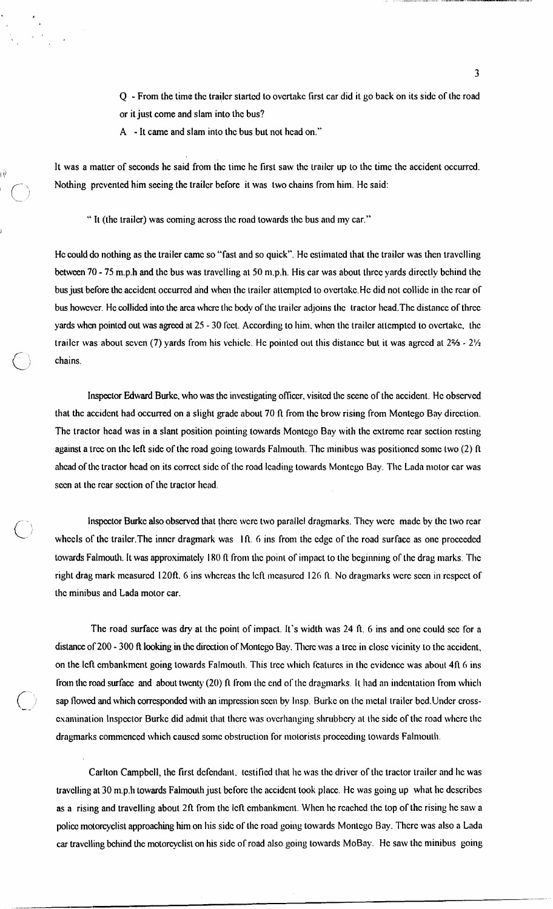- Q From the time the trailer started to overtake first car did it go back on its side of the road or it just come and slam into thc bus?
- A It came and slam into thc bus but not hcad on."

l(1'

I

 $\bigcirc$ 

It was a matter of seconds he said from the time he first saw the trailer up to the time the accident occurred. Nothing prevented him seeing the trailer before it was two chains from him. He said:

" It (thc trailcr) was coming across tlic road towards tlic bus and my car."

He could do nothing as the trailer came so "fast and so quick". He estimated that the trailer was then travelling between 70 - 75 m.p.h and the bus was travelling at 50 m.p.h. His car was about three yards directly behind the bus just before the accident occurred and when the trailer attempted to overtake. He did not collide in the rear of bus however. He collided into the arca where the body of the trailer adjoins the tractor head. The distance of three yards when pointed out was agreed at 25 - 30 fect. According to him, when the trailer attempted to overtake, the trailcr was about seven (7) yards from his vehicle. He pointed out this distance but it was agreed at  $2\frac{2}{3}$  -  $2\frac{1}{2}$ chains.

Inspector Edward Burkc, who was thc investigating oficcr, visitcd thc scenc of thc accidcnt. Hc obscrved that thc accidcnt had occurred on a slight grade about 70 ft from thc brow rising from Montcgo Bay dircction. The tractor head was in a slant position pointing towards Montego Bay with the extreme rear section resting against a tree on the left side of the road going towards Falmouth. The minibus was positioned some two  $(2)$  ft ahead of the tractor head on its correct side of the road leading towards Montego Bay. The Lada motor car was scen at the rear section of the tractor liead.

Inspector Burkc also observed that there were two parallel dragmarks. They were made by the two rear wheels of the trailer. The inner dragmark was Ift. 6 ins from the edge of the road surface as one proceeded towards Falmouth. It was approximately 180 ft from the point of impact to the beginning of the drag marks. The right drag mark measured 120ft. 6 ins whereas the left measured 126 ft. No dragmarks were seen in respect of thc minibus and Lada motor car.

The road surface was dry at the point of impact. It's width was 24 ft. 6 ins and one could see for a distance of 200 - 300 ft looking in the direction of Montego Bay. There was a tree in close vicinity to the accident, on the left embankment going towards Falmouth. This tree which features in the evidence was about 4ft 6 ins from the road surface and about twenty  $(20)$  ft from the end of the dragmarks. It had an indentation from which sap flowed and which corresponded with an impression seen by Insp. Burke on the metal trailer bed. Under crossexamination Inspector Burke did admit that there was overhanging shrubbery at the side of the road where the dragmarks commenced which caused some obstruction for motorists proceeding towards Falmouth.

Carlton Campbell, the first defendant. testified that he was the driver of the tractor trailer and he was travelling at 30 m.p.h towards Falmouth just before the accident took place. He was going up what he describes as a rising and travelling about 2ft from the left embankment. When he reached the top of the rising he saw a police motorcyclist approaching him on his side of the road going towards Montego Bay. There was also a Lada car travelling behind the motorcyclist on his side of road also going towards MoBay. He saw the minibus going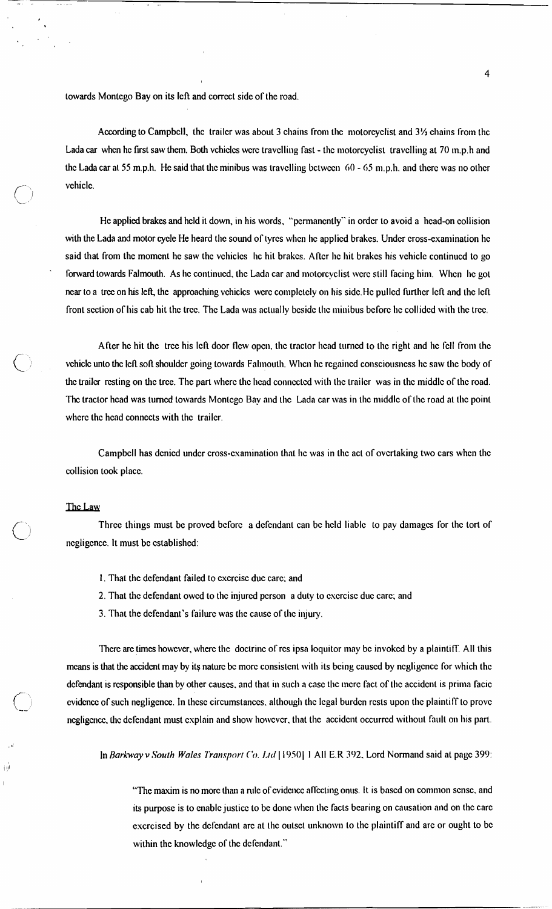towards Montcgo Bay on its left and corrcct sidc of thc road.

According to Campbell, the trailer was about 3 chains from the motorcyclist and  $3\frac{1}{2}$  chains from the Lada car when he first saw them. Both vchicles were travelling fast - the motorcyclist travelling at 70 m.p.h and the Lada car at 55 m.p.h. He said that the minibus was travelling between 60 - 65 m.p.h. and there was no other vchiclc.

He applied brakes and held it down, in his words. "pcrmancntly" in ordcr to avoid a head-on collision with the Lada and motor cycle He heard the sound of tyres when he applied brakes. Under cross-examination he said that from the moment he saw the vehicles Inc hit brakes. After he hit brakes his vehicle continued to go forward towards Falmouth. As he continued, the Lada car and motorcyclist were still facing him. When he got near to a tree on his left, the approaching vehicles were completely on his side. He pulled further left and the left front scclion of his cab hit thc trcc. Thc Lada was actually bcsidc tlic minibus bcforc hc collidcd with thc trcc.

After he hit the tree his left door flew open, the tractor head turned to the right and he fell from the vehicle unto the left soft shoulder going towards Falmouth. When he regained consciousness he saw the body of the trailer resting on the tree. The part where the head connected with the trailer was in the middle of the road. The tractor head was turned towards Montego Bay and the Lada car was in the middle of the road at the point where the head connects with the trailer.

Campbell has denied under cross-examination that he was in the act of overtaking two cars when the collision took place.

## The Law

ήij

Three things must be proved before a defendant can be held liable to pay damages for the tort of ncgligcncc. It must be established:

- 1. That the dcfendant failed to cxcrcisc duc carc; and
- 2. That the defendant owed to the injured person a duty to exercise due care; and
- 3. That the defendant's failure was the cause of the injury.

There are times however, where the doctrine of res ipsa loquitor may be invoked by a plaintiff. All this means is that the accident may by its nature be more consistent with its being caused by negligence for which the defendant is responsible than by other causes, and that in such a case the mere fact of the accident is prima facie evidcncc of such negligence. In thcsc circumstanccs. although thc legal burdcn rcsts upon thc plaintiff to provc negligence, the defendant must explain and show however, that the accident occurred without fault on his part.

In *Rorhway* v *Sortth Woles 7'ronspori* **('o. 1,id** 1 1950) 1 All E.R 302. Lord Normand said at pagc 399:

"The maxim is no more than a rule of evidence affecting onus. It is based on common sense, and its purpose is to enable justice to be done when the facts bearing on causation and on the care excrcised by the defendant are at the outset unknown to the plaintiff and are or ought to be within the knowledge of the defendant."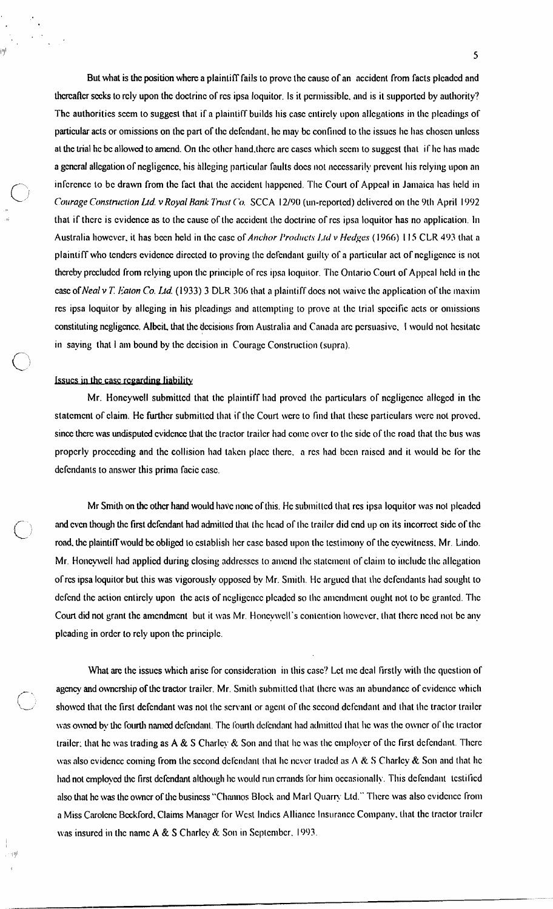But what is the position where a plaintiff fails to prove the cause of an accident from facts pleaded and thereafter seeks to rely upon the doctrine of res ipsa loquitor. Is it permissible, and is it supported by authority? The authorities seem to suggest that if a plaintiff builds his case entirely upon allegations in the pleadings of particular acts or omissions on the part of the defendant, he may be confined to the issues he has chosen unless at the trial he be allowed to amend. On the other hand, there are cases which seem to suggest that if he has made a general allegation of negligence, his alleging particular faults does not necessarily prevent his relying upon an inference to be drawn from the fact that the accident happened. The Court of Appeal in Jamaica has held in Courage Construction Ltd. v Royal Bank Trust Co. SCCA 12/90 (un-reported) delivered on the 9th April 1992 that if there is evidence as to the cause of the accident the doctrine of res ipsa loquitor has no application. In Australia however, it has been held in the case of Anchor Products Ltd v Hedges (1966) 115 CLR 493 that a plaintiff who tenders evidence directed to proving the defendant guilty of a particular act of negligence is not thereby precluded from relying upon the principle of res ipsa loquitor. The Ontario Court of Appeal held in the case of Neal v T. Eaton Co. Ltd. (1933) 3 DLR 306 that a plaintiff does not waive the application of the maxim res ipsa loquitor by alleging in his pleadings and attempting to prove at the trial specific acts or omissions constituting negligence. Albeit, that the decisions from Australia and Canada are persuasive, I would not hesitate in saving that I am bound by the decision in Courage Construction (supra).

## Issues in the case regarding liability

пÀ

Mr. Honcywell submitted that the plaintiff had proved the particulars of negligence alleged in the statement of claim. He further submitted that if the Court were to find that these particulars were not proved. since there was undisputed evidence that the tractor trailer had come over to the side of the road that the bus was properly proceeding and the collision had taken place there, a res had been raised and it would be for the defendants to answer this prima facie case.

Mr Smith on the other hand would have none of this. He submitted that res ipsa loquitor was not pleaded and even though the first defendant had admitted that the head of the trailer did end up on its incorrect side of the road, the plaintiff would be obliged to establish her case based upon the testimony of the eyewitness, Mr. Lindo. Mr. Honeywell had applied during closing addresses to amend the statement of claim to include the allegation of res ipsa loquitor but this was vigorously opposed by Mr. Smith. He argued that the defendants had sought to defend the action entirely upon the acts of negligence pleaded so the amendment ought not to be granted. The Court did not grant the amendment but it was Mr. Honeywell's contention however, that there need not be any pleading in order to rely upon the principle.

What are the issues which arise for consideration in this case? Let me deal firstly with the question of agency and ownership of the tractor trailer. Mr. Smith submitted that there was an abundance of evidence which showed that the first defendant was not the servant or agent of the second defendant and that the tractor trailer was owned by the fourth named defendant. The fourth defendant had admitted that he was the owner of the tractor trailer; that he was trading as  $A \& S$  Charley  $\&$  Son and that he was the employer of the first defendant. There was also evidence coming from the second defendant that he never traded as  $A \& S$  Charley  $\&$  Son and that he had not employed the first defendant although he would run errands for him occasionally. This defendant testified also that he was the owner of the business "Channos Block and Marl Quarry Ltd." There was also evidence from a Miss Carolene Beckford, Claims Manager for West Indies Alliance Insurance Company, that the tractor trailer was insured in the name A & S Charley & Son in September, 1993.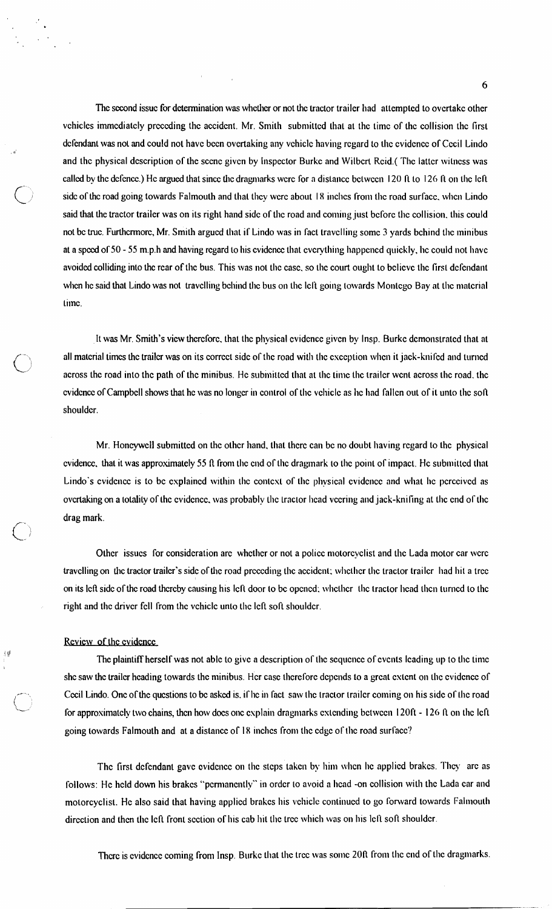The second issue for determination was whether or not the tractor trailer had attempted to overtake other vchicles immediately preceding the accident. Mr. Smith submitted that at the time of the collision the first defendant was not and could not have been overtaking any vehicle having regard to the evidence of Cecil Lindo and the physical description of the scene given by Inspector Burke and Wilbert Reid.( The latter witness was called by the defence.) He argued that since the dragmarks were for a distance between 120 ft to 126 ft on the left side of the road going towards Falmouth and that they were about 18 inclies from the road surface, when Lindo said that the tractor trailer was on its right hand side of the road and coming just before the collision, this could not bc truc. Furthcrmore, Mr. Smith argued that if Lindo was in fact travelling some 3 yards behind the minibus at a speed of 50 - 55 m.p.h and having regard to his evidence that everything happened quickly, he could not have avoided colliding into the rear of the bus. This was not the case, so the court ought to believe the first defendant when he said that Lindo was not travelling behind the bus on the Icft going towards Montego Bay at the material Limc.

It was Mr. Smith's view therefore, that the physical evidence given by Insp. Burke demonstrated that at all material times the trailer was on its correct side of the road with the exception when it jack-knifed and turned across the road into the path of the minibus. He submitted that at the time the trailer went across the road, the cvidence of Campbell shows that he was no longer in control of the vehicle as he had fallen out of it unto the soft shouldcr.

Mr. Honcywell submitted on the other hand, that there can be no doubt having regard to the physical cvidence, that it was approximately 55 ft from the end of the dragmark to the point of impact. He submitted that Lindo's cvidence is to be explained within the context of the physical evidence and what he perceived as ovcrtaking on a totality of the evidence, was probably the tractor head veering and jack-knifing at the end of the drag mark.

Other issues for consideration are whether or not a police motorcyclist and the Lada motor car were travelling on the tractor trailer's side of the road preceding the accident: whether the tractor trailer had hit a tree on its left side of the road thereby causing his left door to be opened; whether the tractor head then turned to the right and the driver fell from the vehicle unto the left soft shoulder.

### Rcvicw of thc cvidcnce

. II

 $\mathbb{I}^{\#}$  The plaintiff herself was not ablc to give a description of the sequence of events leading up to the time shc saw the trailer heading towards the minibus. Her case therefore depends to a great extent on the evidence of Cecil Lindo. One of the questions to be asked is, if he in fact saw the tractor trailer coming on his side of the road for approximately two chains, then how does one explain dragmarks extending between  $120ft - 126 ft$  on the left going towards Falmouth and at a distance of 18 inches from the edge of the road surface?

> The first defendant gave ovidence on the steps taken by him when he applied brakes. They are as follows: He held down his brakes "permanently" in order to avoid a head -on collision with the Lada car and motorcyclist. He also said that having applied brakes his vehicle continued to go forward towards Falmouth direction and then the left front section of his cab hit the tree which was on his left soft shoulder.

There is evidence coming from Insp. Burke that the tree was some 20ft from the end of the dragmarks.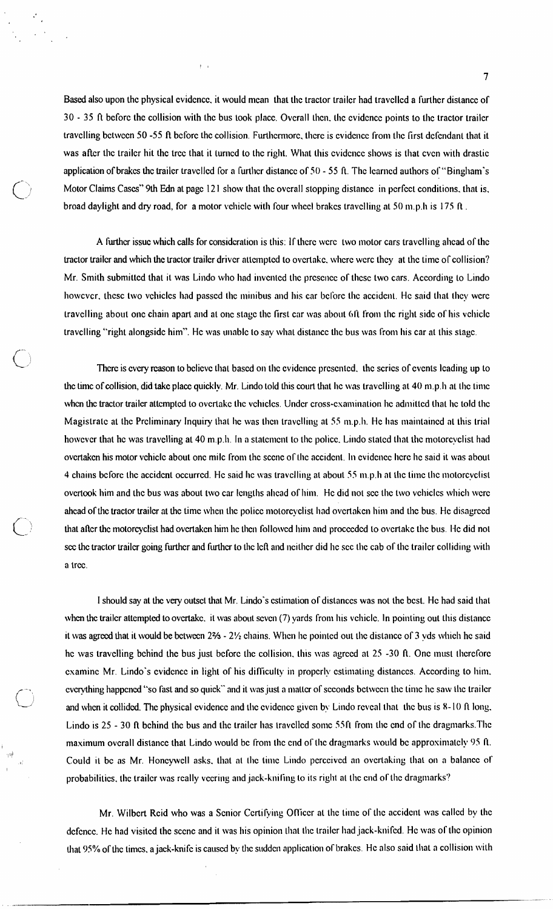Based also upon the physical evidence, it would mean that the tractor trailer had travelled a further distance of **30** - **35** ft bcforc the collision with thc bus took placc. Ovcrall tlicn. tlic cvidcncc points to Ilic tractor trailcr travelling between 50 -55 ft before the collision. Furthermore, there is evidence from the first defendant that it was after the trailer hit the tree that it turned to the right. What this evidence shows is that even with drastic application of brakes the trailer travelled for a further distance of 50 - 55 ft. The learned authors of "Bingham's Motor Claims Cascs" 9th **Edn** at pagc 12 1 show that thc ovcrall stopping dislancc in pcrfcct conditions. that is, broad daylight and dry road, for a motor vehicle with four wheel brakes travelling at 50 m.p.h is 175 ft.

 $\bar{1}$  –  $\bar{1}$ 

A further issue which calls for consideration is this: If there were two motor cars travelling ahead of the tractor trailer and which the tractor trailer driver attempted to overtake, where were they at the time of collision? Mr. Smith submitted that it was Lindo who had invented the presence of these two cars. According to Lindo howcvcr, these two vehicles had passed the minibus and his car before the accident. He said that they were travelling about one chain apart and at one stage the first car was about 6ft from the right side of his vehicle travelling "right alongside him". He was unable to say what distance the bus was from his car at this stage.

There is every reason to believe that based on the evidence presented, the scries of events leading up to the time of collision, did take place quickly. Mr. Lindo told this court that he was travelling at 40 m.p.h at the time when the tractor trailer attempted to overtake the vehicles. Under cross-examination he admitted that he told the Magistrate at the Preliminary Inquiry that he was then travelling at 55  $m.p.h$ . He has maintained at this trial however that he was travelling at 40 m.p.h. In a statement to the police. Lindo stated that the motorcyclist had overtaken his motor vehicle about one mile from the scene of the accident. In evidence here he said it was about 4 chains before the accident occurred. He said he was travelling at about 55 m.p.h at the time the motorcyclist overtook him and the bus was about two car lengths ahead of him. He did not see the two vehicles which were ahead of the tractor trailer at the time when the police motorcyclist had overtaken him and the bus. He disagreed that after the motorcyclist had overtaken him he then followed him and proceeded to overtake the bus. He did not sec the tractor trailer going further and further to the left and neither did he sec the cab of the trailer colliding with a trcc.

I should say at the very outset that Mr. Lindo's estimation of distances was not the best. He had said that when the trailer attempted to overtake. it was about seven (7) yards from his vehicle. In pointing out this distance it was agreed that it would be between 2% - 2% chains. When he pointed out the distance of 3 yds which he said he was travelling behind the bus just before the collision, this was agreed at 25 -30 ft. One must therefore csaminc Mr. Lindo's cvidcncc in light of his difficulty in propcrly cstimaling distanccs. According to Iiim. cvcrything happened "so fast and so quick" and it was just a matter of seconds between the time he saw the trailer and when it collided. The physical evidence and the evidence given by Lindo reveal that the bus is 8-10 ft long. Lindo is 25 - 30 *ft* bchind the bus and the trailer has travelled some 55ft from the end of the dragmarks. The maximum ovcrall distance that Lindo would be from the end of the dragmarks would be approximately 95 ft. Could it be as Mr. Honeywell asks, that at the time Lindo perceived an overtaking that on a balance of probabilities, the trailer was really vecring and jack-knifing to its right at the end of the dragmarks?

, 111

Mr. Wilbert Reid who was a Senior Certifying Officer at the time of the accident was called by the defence. He had visited the scene and it was his opinion that the trailer had jack-knifed. He was of the opinion that 95% of the times, a jack-knife is caused by the sudden application of brakes. He also said that a collision with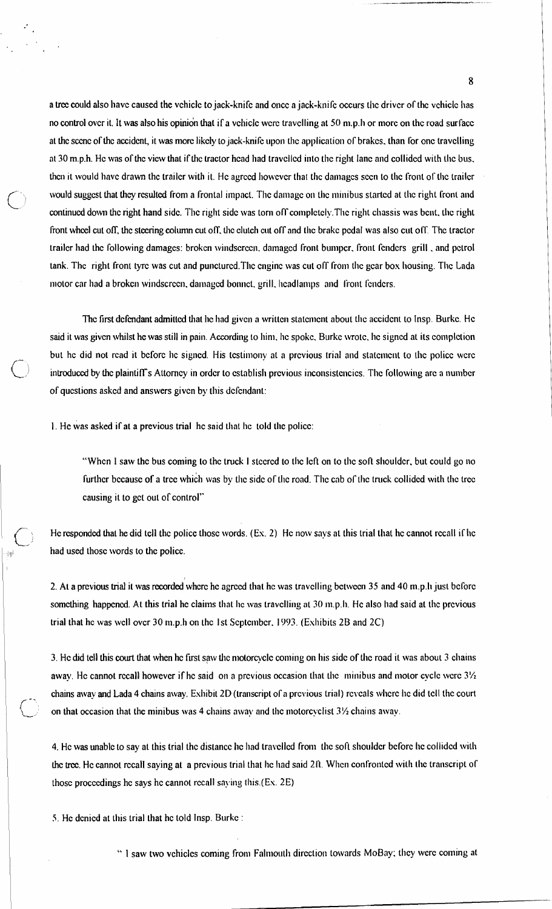a tree could also have caused the vehicle to jack-knife and once a jack-knife occurs the driver of the vehicle has no control over it. It was also his opinion that if a vehicle were travelling at 50 m.p.h or more on the road surface at the scene of the accident, it was more likely to jack-knife upon the application of brakes, than for one travelling at 30 m.p.h. He was of the view that if the tractor head had travelled into the right lane and collided with the bus. then it would have drawn the trailer with it. He agreed however that the damages seen to the front of the trailer would suggest that they resulted from a frontal impact. The damage on the minibus started at the right front and continued down the right hand side. The right side was torn off completely. The right chassis was bent, the right front wheel cut off, the steering column cut off, the clutch cut off and the brake pedal was also cut off. The tractor trailer had the following damages: broken windscreen, damaged front bumper, front fenders grill, and petrol tank. The right front tyre was cut and punctured. The engine was cut off from the gear box housing. The Lada motor car had a broken windscreen, damaged bonnet, grill, headlamps and front fenders.

The first defendant admitted that he had given a written statement about the accident to Insp. Burke. He said it was given whilst he was still in pain. According to him, he spoke, Burke wrote, he signed at its completion but he did not read it before he signed. His testimony at a previous trial and statement to the police were introduced by the plaintiff's Attorney in order to establish previous inconsistencies. The following are a number of questions asked and answers given by this defendant:

1. He was asked if at a previous trial he said that he told the police:

"When I saw the bus coming to the truck I steered to the left on to the soft shoulder, but could go no further because of a tree which was by the side of the road. The cab of the truck collided with the tree causing it to get out of control"

He responded that he did tell the police those words. (Ex. 2) He now says at this trial that he cannot recall if he had used those words to the police.

2. At a previous trial it was recorded where he agreed that he was travelling between 35 and 40 m.p.li just before something happened. At this trial he claims that he was travelling at 30 m.p.h. He also had said at the previous trial that he was well over 30 m.p.h on the 1st September, 1993. (Exhibits 2B and 2C)

3. He did tell this court that when he first saw the motorcycle coming on his side of the road it was about 3 chains away. He cannot recall however if he said on a previous occasion that the minibus and motor cycle were  $3\frac{1}{2}$ chains away and Lada 4 chains away. Exhibit 2D (transcript of a previous trial) reveals where he did tell the court on that occasion that the minibus was 4 chains away and the motorcyclist 31/2 chains away.

4. He was unable to say at this trial the distance he had travelled from the soft shoulder before he collided with the tree. He cannot recall saying at a previous trial that he had said 2ft. When confronted with the transcript of those proceedings he says he cannot recall saving this (Ex. 2E)

5. He denied at this trial that he told Insp. Burke :

"I saw two vehicles coming from Falmouth direction towards MoBay; they were coming at

8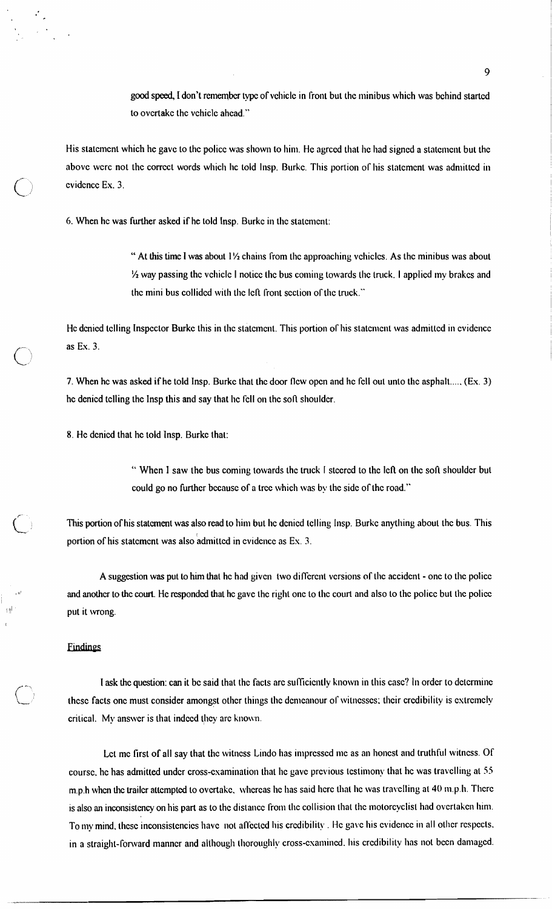good speed, I don't remember type of vehicle in front but the minibus which was behind started to overtake the vehicle ahead."

His statement which he gave to the police was shown to him. He agreed that he had signed a statement but the above were not the correct words which he told Insp. Burke. This portion of his statement was admitted in evidence Ex. 3.

6. When he was further asked if he told Insp. Burke in the statement:

" At this time I was about 11/2 chains from the approaching vehicles. As the minibus was about 1/2 way passing the vehicle I notice the bus coming towards the truck. I applied my brakes and the mini bus collided with the left front section of the truck."

He denied telling Inspector Burke this in the statement. This portion of his statement was admitted in evidence as Ex. 3.

7. When he was asked if he told Insp. Burke that the door flew open and he fell out unto the asphalt...., (Ex. 3) he denied telling the Insp this and say that he fell on the soft shoulder.

8. He denied that he told Insp. Burke that:

"When I saw the bus coming towards the truck I steered to the left on the soft shoulder but could go no further because of a tree which was by the side of the road."

This portion of his statement was also read to him but he denied telling Insp. Burke anything about the bus. This portion of his statement was also admitted in evidence as Ex. 3.

A suggestion was put to him that he had given two different versions of the accident - one to the police and another to the court. He responded that he gave the right one to the court and also to the police but the police put it wrong.

#### Findings

I ask the question: can it be said that the facts are sufficiently known in this case? In order to determine these facts one must consider amongst other things the demeanour of witnesses; their credibility is extremely critical. My answer is that indeed they are known.

Let me first of all say that the witness Lindo has impressed me as an honest and truthful witness. Of course, he has admitted under cross-examination that he gave previous testimony that he was travelling at 55 m.p.h when the trailer attempted to overtake, whereas he has said here that he was travelling at 40 m.p.h. There is also an inconsistency on his part as to the distance from the collision that the motorcyclist had overtaken him. To my mind, these inconsistencies have not affected his credibility. He gave his evidence in all other respects, in a straight-forward manner and although thoroughly cross-examined, his credibility has not been damaged.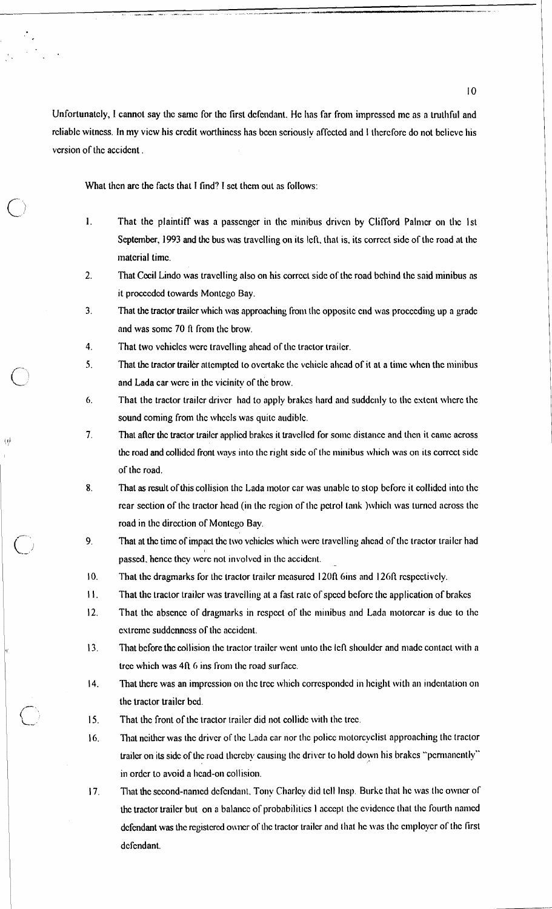Unfortunately, I cannot say the same for the first defendant. He has far from impressed me as a truthful and rcliable witness. In my view his credit worthiness has been seriously affected and I therefore do not believe his vcrsion of thc accidcnt .

What then are the facts that I find? I set them out as follows:

- 1. That the plaintiff was a passenger in the minibus driven by Clifford Palmer on the 1st September, 1993 and the bus was travelling on its left, that is, its correct side of the road at the matcrial time.
- $2.$ That Cecil Lindo was travelling also on his correct side of the road behind the said minibus as it procceded towards Montego Bay.
- $3<sub>1</sub>$ That the tractor trailer which was approaching from the opposite end was proceeding up a grade and was some 70 ft from the brow.
- $\overline{4}$ . That two vchicles were travelling ahead of the tractor trailer.
- $5<sub>1</sub>$ That the tractor trailer attempted to overtake the vehicle ahead of it at a time when the minibus and Lada car wcrc in the vicinity of the brow.
- 6. That the tractor trailer driver had to apply brakes hard and suddenly to the extent where the sound coming from thc whccls was quitc audiblc.
- $7<sup>1</sup>$ That after the tractor trailer applied brakes it travelled for some distance and then it came across the road and collided front ways into the right side of the minibus which was on its correct side of thc road.
- 8. That as result of this collision the Lada motor car was unable to stop before it collided into the rcar section of the tractor head (in the region of the petrol tank )which was turned across the road in thc dircction of Montcgo Bay.
- $9<sub>1</sub>$ That at the time of impact the two vehicles which were travelling alicad of the tractor trailer had passed, hence they were not involved in the accident.
- 10. That the dragmarks for the tractor trailer measured 120ft 6ins and 126ft respectively.
- $H<sub>z</sub>$ That the tractor trailer was travelling at a fast rate of speed before the application of brakes
- $12.$ That the absence of dragmarks in respect of the minibus and Lada motorcar is due to the extreme suddenness of the accident.
- 13. That before the collision the tractor trailer went unto the left shoulder and made contact with a tree which was 4ft 6 ins from the road surface.
- $|4.$ That there was an impression on the tree which corresponded in height with an indentation on thc tractor trailcr bcd.
- $15<sub>1</sub>$ That the front of the tractor trailer did not collide with the tree.
- 16. That neither was the driver of the Lada car nor the police motorcyclist approaching the tractor trailer on its side of the road thereby causing the driver to hold down his brakes "permanently" in order to avoid a head-on collision.
- That the second-named defendant. Tony Charley did tell Insp. Burke that he was the owner of 17. the tractor trailer but on a balance of probabilities I accept the evidence that the fourth named defendant was the registered owner of the tractor trailer and that he was the employer of the first dcfcndant.

 $10<sup>10</sup>$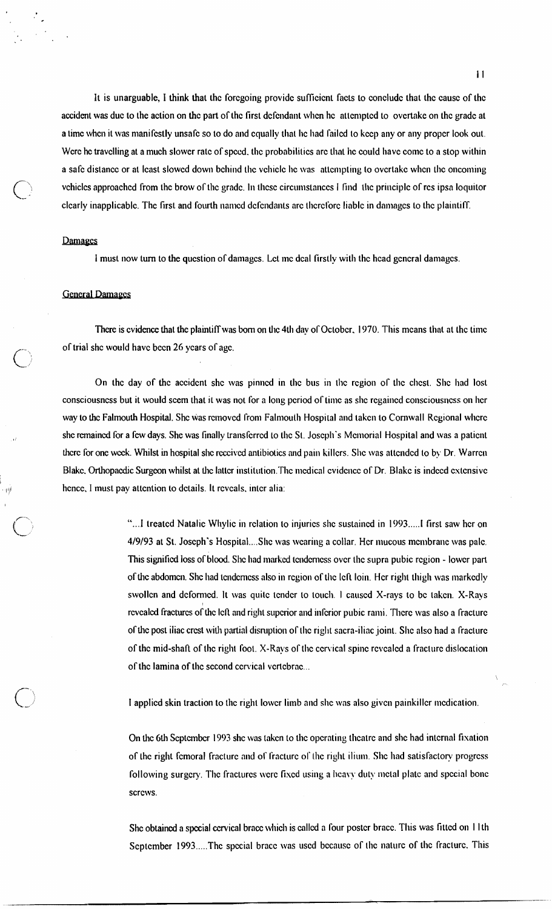It is unarguable, I think that thc forcgoing providc sufficient facts to concludc that thc causc of thc accident was duc to the action on thc part of thc first dcfcndant whcn hc attcmptcd to ovcrtake on thc gradc at a time when it was manifestly unsafe so to do and equally that he had failed to keep any or any proper look out. Were he travelling at a much slower rate of speed, the probabilities are that he could have come to a stop within a safe distance or at least slowed down behind the vehicle he was attempting to overtake when the oncoming vchicles approached from the brow of the grade. In these circumstances 1 find the principle of res ipsa loquitor clearly inapplicable. The first and fourth named defendants are therefore liable in damages to the plaintiff.

# Damages

I must now turn to the question of damages. Let me deal firstly with the head general damages.

## **General Damages**

There is cvidence that the plaintiff was born on the 4th day of October, 1970. This means that at the time of trial shc would have been 26 years of age.

On the day of the accident she was pinned in the bus in the region of the chest. She had lost consciousness but it would seem that it was not for a long period of time as she regained consciousness on her way to the Falmouth Hospital. She was removed from Falmouth Hospital and taken to Cornwall Regional where she remained for a few days. She was finally transferred to the St. Joseph's Memorial Hospital and was a patient there for one week. Whilst in hospital she received antibiotics and pain killers. She was attended to by Dr. Warren Blake. Orthopaedic Surgeon whilst at the latter institution. The medical evidence of Dr. Blake is indeed extensive hence. I must pay attention to details. It reveals, inter alia:

> "...I treated Natalic Whylic in relation to injuries she sustained in 1993.....I first saw her on 4/9/93 at St. Joseph's Hospital....She was wearing a collar. Her mucous membrane was pale. This signified loss of blood. She had marked tenderness over the supra pubic region - lower part of the abdomen. She had tenderness also in region of the left loin. Her right thigh was markedly swollen and deformed. It was quite tender to touch. 1 caused X-rays to be taken. X-Rays I rcvcalcd fractures of the Icfl and right superior and inferior pubic rami. There was also a fracture of the post iliac crest with partial disruption of the right sacra-iliac joint. She also had a fracture of the mid-shaft of the right foot. X-Rays of the cervical spine revealed a fracture dislocation of the lamina of the second cervical vertebrae...

I applied skin traction to the right lower limb and she was also given painkiller medication.

On the 6th September 1993 she was taken to the operating theatre and she had internal fixation of the right femoral fracture and of fracture of the right ilium. She had satisfactory progress following surgery. The fractures were fixed using a heavy duty metal plate and special bone scrcws.

Shc obtained a special ccrvical braccwvliich is callcd a four postcr bracc. This was fittcd on I I th September 1993.....The special brace was used because of the nature of the fracture. This